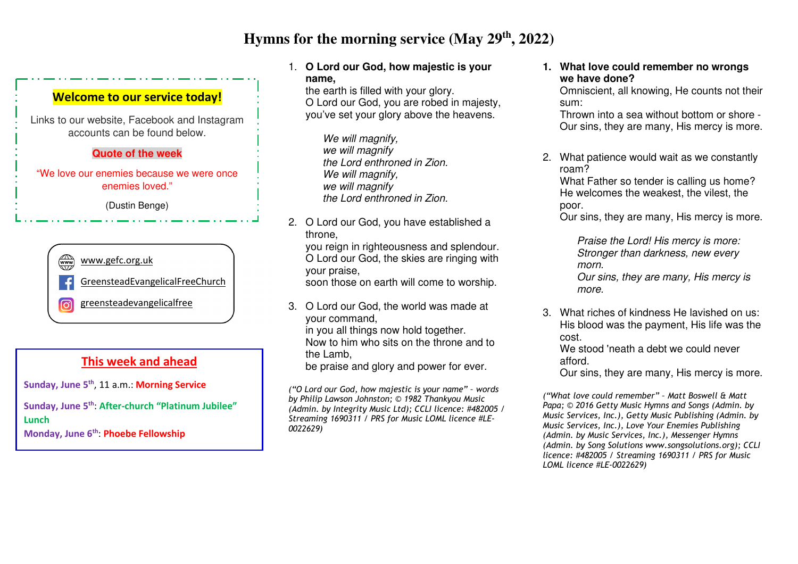# **Hymns for the morning service (May 29th, 2022)**

## **Welcome to our service today!**

Links to our website, Facebook and Instagram accounts can be found below.

## **Quote of the week**

"We love our enemies because we were once enemies loved."

(Dustin Benge)

#### $\mathbb{R}$ www.gefc.org.uk

GreensteadEvangelicalFreeChurch

greensteadevangelicalfree <u>ල</u>

## **This week and ahead**

**Sunday, June 5th**, 11 a.m.: **Morning Service**

**Sunday, June 5th**: **After-church "Platinum Jubilee" Lunch Monday, June 6th**: **Phoebe Fellowship**

## 1. **O Lord our God, how majestic is your name,**

 the earth is filled with your glory. O Lord our God, you are robed in majesty, you've set your glory above the heavens.

*We will magnify, we will magnify the Lord enthroned in Zion. We will magnify, we will magnify the Lord enthroned in Zion.* 

2. O Lord our God, you have established a throne,

 you reign in righteousness and splendour. O Lord our God, the skies are ringing with your praise, soon those on earth will come to worship.

3. O Lord our God, the world was made at your command, in you all things now hold together. Now to him who sits on the throne and to the Lamb, be praise and glory and power for ever.

*("O Lord our God, how majestic is your name" – words by Philip Lawson Johnston; © 1982 Thankyou Music (Admin. by Integrity Music Ltd); CCLI licence: #482005 / Streaming 1690311 / PRS for Music LOML licence #LE-0022629)* 

**1. What love could remember no wrongs we have done?** 

 Omniscient, all knowing, He counts not their sum:

 Thrown into a sea without bottom or shore - Our sins, they are many, His mercy is more.

2. What patience would wait as we constantly roam?

 What Father so tender is calling us home? He welcomes the weakest, the vilest, the poor.

Our sins, they are many, His mercy is more.

*Praise the Lord! His mercy is more: Stronger than darkness, new every morn.* 

 *Our sins, they are many, His mercy is more.* 

3. What riches of kindness He lavished on us: His blood was the payment, His life was the cost.

 We stood 'neath a debt we could never afford.

Our sins, they are many, His mercy is more.

*("What love could remember" – Matt Boswell & Matt Papa; © 2016 Getty Music Hymns and Songs (Admin. by Music Services, Inc.), Getty Music Publishing (Admin. by Music Services, Inc.), Love Your Enemies Publishing (Admin. by Music Services, Inc.), Messenger Hymns (Admin. by Song Solutions www.songsolutions.org); CCLI licence: #482005 / Streaming 1690311 / PRS for Music LOML licence #LE-0022629)*